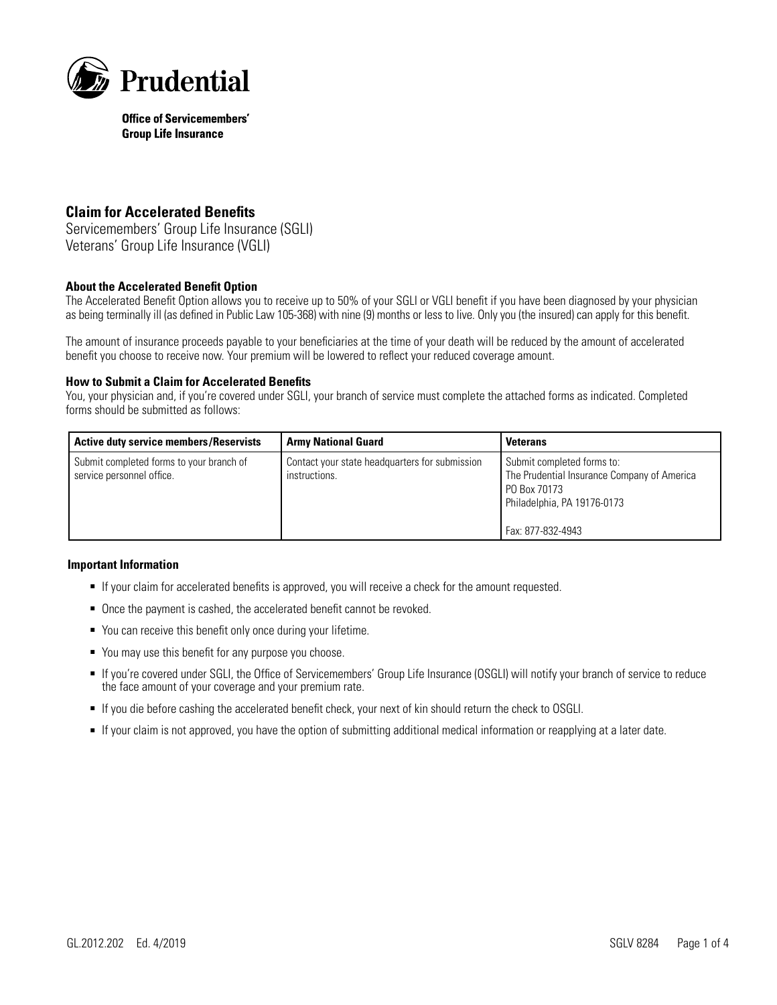

# **Claim for Accelerated Benefits**

Servicemembers' Group Life Insurance (SGLI) Veterans' Group Life Insurance (VGLI)

### **About the Accelerated Benefit Option**

The Accelerated Benefit Option allows you to receive up to 50% of your SGLI or VGLI benefit if you have been diagnosed by your physician as being terminally ill (as defined in Public Law 105-368) with nine (9) months or less to live. Only you (the insured) can apply for this benefit.

The amount of insurance proceeds payable to your beneficiaries at the time of your death will be reduced by the amount of accelerated benefit you choose to receive now. Your premium will be lowered to reflect your reduced coverage amount.

#### **How to Submit a Claim for Accelerated Benefits**

You, your physician and, if you're covered under SGLI, your branch of service must complete the attached forms as indicated. Completed forms should be submitted as follows:

| <b>Active duty service members/Reservists</b>                         | <b>Army National Guard</b>                                      | <b>Veterans</b>                                                                                                                               |
|-----------------------------------------------------------------------|-----------------------------------------------------------------|-----------------------------------------------------------------------------------------------------------------------------------------------|
| Submit completed forms to your branch of<br>service personnel office. | Contact your state headquarters for submission<br>instructions. | Submit completed forms to:<br>The Prudential Insurance Company of America<br>PO Box 70173<br>Philadelphia, PA 19176-0173<br>Fax: 877-832-4943 |

#### **Important Information**

- If your claim for accelerated benefits is approved, you will receive a check for the amount requested.
- Once the payment is cashed, the accelerated benefit cannot be revoked.
- You can receive this benefit only once during your lifetime.
- You may use this benefit for any purpose you choose.
- If you're covered under SGLI, the Office of Servicemembers' Group Life Insurance (OSGLI) will notify your branch of service to reduce the face amount of your coverage and your premium rate.
- If you die before cashing the accelerated benefit check, your next of kin should return the check to OSGLI.
- If your claim is not approved, you have the option of submitting additional medical information or reapplying at a later date.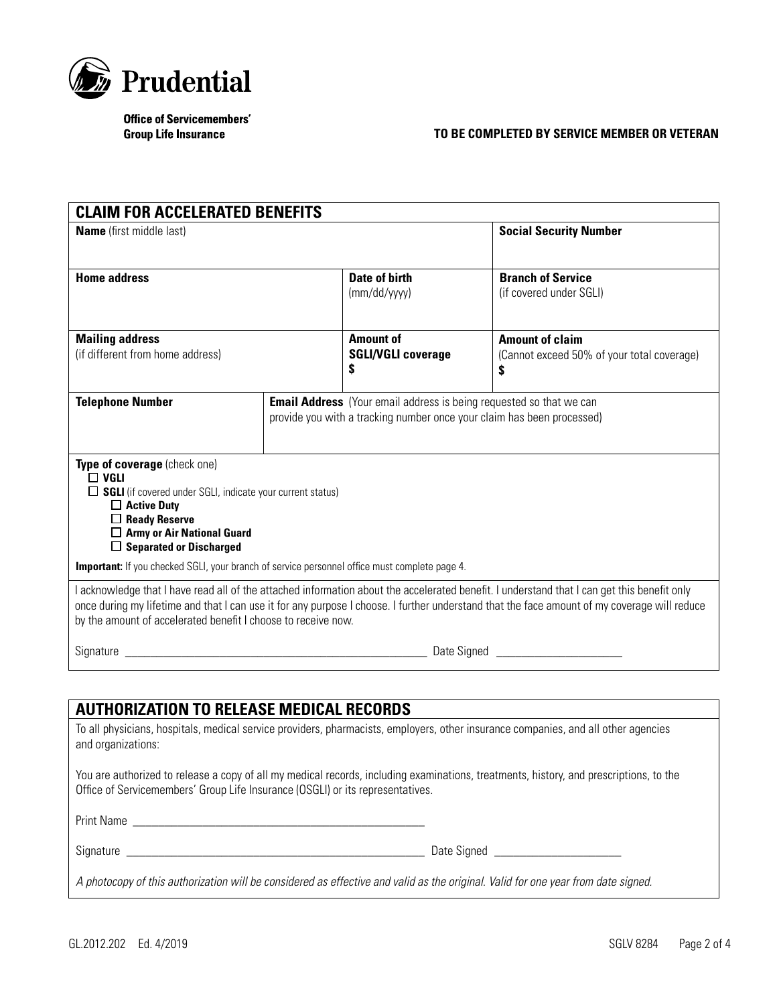

## **TO BE COMPLETED BY SERVICE MEMBER OR VETERAN**

| <b>CLAIM FOR ACCELERATED BENEFITS</b>                                                                                                                                                                                                 |  |                                                                                                                                                                                                                                           |                                                                                                                                                                                                                                                                                             |  |
|---------------------------------------------------------------------------------------------------------------------------------------------------------------------------------------------------------------------------------------|--|-------------------------------------------------------------------------------------------------------------------------------------------------------------------------------------------------------------------------------------------|---------------------------------------------------------------------------------------------------------------------------------------------------------------------------------------------------------------------------------------------------------------------------------------------|--|
| <b>Name</b> (first middle last)                                                                                                                                                                                                       |  | <b>Social Security Number</b>                                                                                                                                                                                                             |                                                                                                                                                                                                                                                                                             |  |
| <b>Home address</b>                                                                                                                                                                                                                   |  | <b>Date of birth</b><br>(mm/dd/yyyy)                                                                                                                                                                                                      | <b>Branch of Service</b><br>(if covered under SGLI)                                                                                                                                                                                                                                         |  |
| <b>Mailing address</b><br>(if different from home address)                                                                                                                                                                            |  | <b>Amount of</b><br><b>SGLI/VGLI coverage</b><br>S                                                                                                                                                                                        | <b>Amount of claim</b><br>(Cannot exceed 50% of your total coverage)<br>\$                                                                                                                                                                                                                  |  |
| <b>Telephone Number</b>                                                                                                                                                                                                               |  | <b>Email Address</b> (Your email address is being requested so that we can<br>provide you with a tracking number once your claim has been processed)                                                                                      |                                                                                                                                                                                                                                                                                             |  |
| Type of coverage (check one)<br>$\Box$ VGLI<br>$\Box$ SGLI (if covered under SGLI, indicate your current status)<br>$\Box$ Active Duty<br>$\Box$ Ready Reserve<br>$\Box$ Army or Air National Guard<br>$\Box$ Separated or Discharged |  |                                                                                                                                                                                                                                           |                                                                                                                                                                                                                                                                                             |  |
| <b>Important:</b> If you checked SGLI, your branch of service personnel office must complete page 4.                                                                                                                                  |  |                                                                                                                                                                                                                                           |                                                                                                                                                                                                                                                                                             |  |
| by the amount of accelerated benefit I choose to receive now.                                                                                                                                                                         |  |                                                                                                                                                                                                                                           | I acknowledge that I have read all of the attached information about the accelerated benefit. I understand that I can get this benefit only<br>once during my lifetime and that I can use it for any purpose I choose. I further understand that the face amount of my coverage will reduce |  |
|                                                                                                                                                                                                                                       |  | Signature <b>Example 2018</b> Date Signed <b>Contract Contract Contract Contract Contract Contract Contract Contract Contract Contract Contract Contract Contract Contract Contract Contract Contract Contract Contract Contract Cont</b> |                                                                                                                                                                                                                                                                                             |  |
|                                                                                                                                                                                                                                       |  |                                                                                                                                                                                                                                           |                                                                                                                                                                                                                                                                                             |  |
| <b>AUTHORIZATION TO RELEASE MEDICAL RECORDS</b>                                                                                                                                                                                       |  |                                                                                                                                                                                                                                           |                                                                                                                                                                                                                                                                                             |  |
| and organizations:                                                                                                                                                                                                                    |  |                                                                                                                                                                                                                                           | To all physicians, hospitals, medical service providers, pharmacists, employers, other insurance companies, and all other agencies                                                                                                                                                          |  |

You are authorized to release a copy of all my medical records, including examinations, treatments, history, and prescriptions, to the Office of Servicemembers' Group Life Insurance (OSGLI) or its representatives.

Print Name \_\_\_\_\_\_\_\_\_\_\_\_\_\_\_\_\_\_\_\_\_\_\_\_\_\_\_\_\_\_\_\_\_\_\_\_\_\_\_\_\_\_\_\_\_\_

Signature \_\_\_\_\_\_\_\_\_\_\_\_\_\_\_\_\_\_\_\_\_\_\_\_\_\_\_\_\_\_\_\_\_\_\_\_\_\_\_\_\_\_\_\_\_\_\_ Date Signed \_\_\_\_\_\_\_\_\_\_\_\_\_\_\_\_\_\_\_\_

*A photocopy of this authorization will be considered as effective and valid as the original. Valid for one year from date signed.*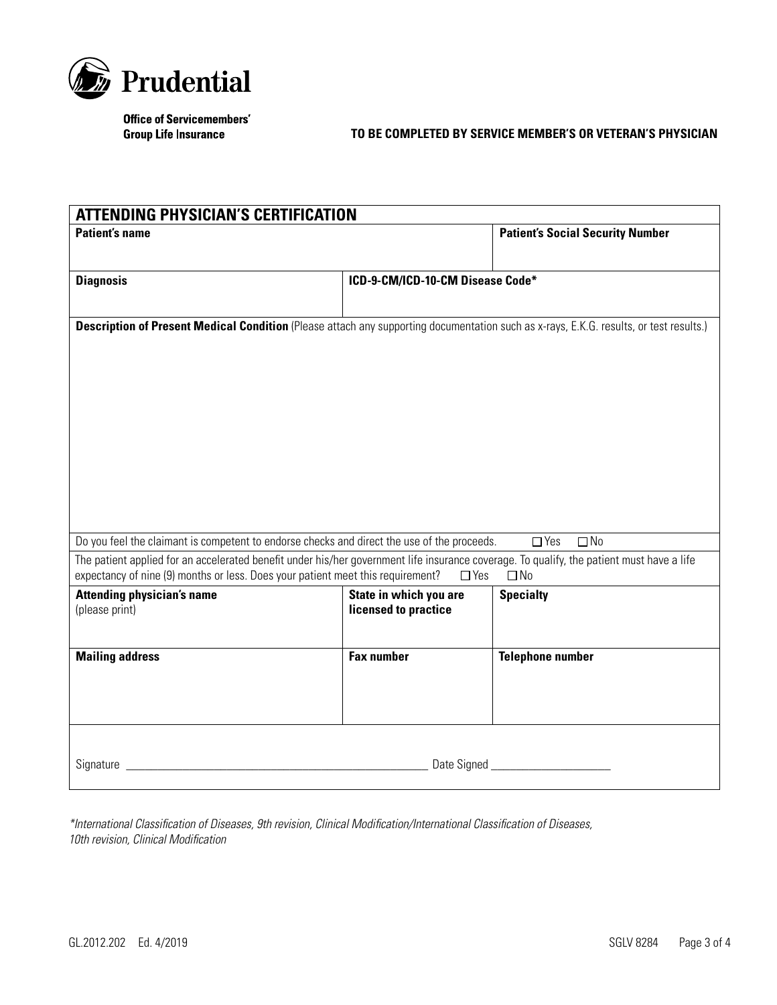

## **TO BE COMPLETED BY SERVICE MEMBER'S OR VETERAN'S PHYSICIAN**

| <b>ATTENDING PHYSICIAN'S CERTIFICATION</b>                                                                                                                                                                                                              |                                  |                                         |  |
|---------------------------------------------------------------------------------------------------------------------------------------------------------------------------------------------------------------------------------------------------------|----------------------------------|-----------------------------------------|--|
| <b>Patient's name</b>                                                                                                                                                                                                                                   |                                  | <b>Patient's Social Security Number</b> |  |
|                                                                                                                                                                                                                                                         |                                  |                                         |  |
| <b>Diagnosis</b>                                                                                                                                                                                                                                        | ICD-9-CM/ICD-10-CM Disease Code* |                                         |  |
|                                                                                                                                                                                                                                                         |                                  |                                         |  |
|                                                                                                                                                                                                                                                         |                                  |                                         |  |
| Description of Present Medical Condition (Please attach any supporting documentation such as x-rays, E.K.G. results, or test results.)                                                                                                                  |                                  |                                         |  |
|                                                                                                                                                                                                                                                         |                                  |                                         |  |
|                                                                                                                                                                                                                                                         |                                  |                                         |  |
|                                                                                                                                                                                                                                                         |                                  |                                         |  |
|                                                                                                                                                                                                                                                         |                                  |                                         |  |
|                                                                                                                                                                                                                                                         |                                  |                                         |  |
|                                                                                                                                                                                                                                                         |                                  |                                         |  |
|                                                                                                                                                                                                                                                         |                                  |                                         |  |
|                                                                                                                                                                                                                                                         |                                  |                                         |  |
|                                                                                                                                                                                                                                                         |                                  |                                         |  |
|                                                                                                                                                                                                                                                         |                                  |                                         |  |
| Do you feel the claimant is competent to endorse checks and direct the use of the proceeds.                                                                                                                                                             |                                  | $\Box$ No<br>$\Box$ Yes                 |  |
| The patient applied for an accelerated benefit under his/her government life insurance coverage. To qualify, the patient must have a life<br>expectancy of nine (9) months or less. Does your patient meet this requirement?<br>$\Box$ Yes<br>$\Box$ No |                                  |                                         |  |
| <b>Attending physician's name</b>                                                                                                                                                                                                                       | State in which you are           | <b>Specialty</b>                        |  |
| (please print)                                                                                                                                                                                                                                          | licensed to practice             |                                         |  |
|                                                                                                                                                                                                                                                         |                                  |                                         |  |
| <b>Mailing address</b>                                                                                                                                                                                                                                  | <b>Fax number</b>                | <b>Telephone number</b>                 |  |
|                                                                                                                                                                                                                                                         |                                  |                                         |  |
|                                                                                                                                                                                                                                                         |                                  |                                         |  |
|                                                                                                                                                                                                                                                         |                                  |                                         |  |
|                                                                                                                                                                                                                                                         |                                  |                                         |  |
|                                                                                                                                                                                                                                                         |                                  |                                         |  |
| Date Signed <b>Manual</b>                                                                                                                                                                                                                               |                                  |                                         |  |
|                                                                                                                                                                                                                                                         |                                  |                                         |  |

*\*International Classification of Diseases, 9th revision, Clinical Modification/International Classification of Diseases, 10th revision, Clinical Modification*